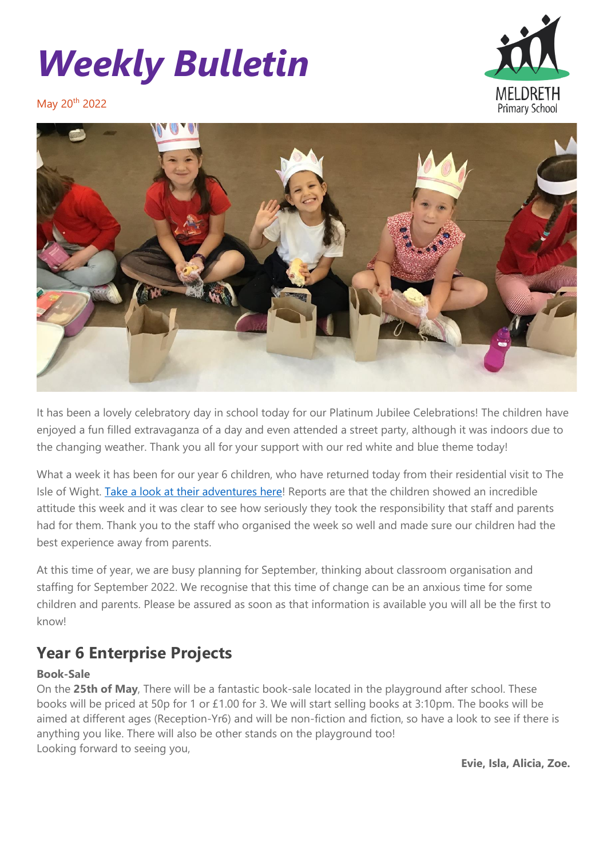# *Weekly Bulletin*



May 20<sup>th</sup> 2022



It has been a lovely celebratory day in school today for our Platinum Jubilee Celebrations! The children have enjoyed a fun filled extravaganza of a day and even attended a street party, although it was indoors due to the changing weather. Thank you all for your support with our red white and blue theme today!

What a week it has been for our year 6 children, who have returned today from their residential visit to The Isle of Wight. [Take a look at their adventures here!](https://meldreth.eschools.co.uk/web/year_6_on_tour/608542) Reports are that the children showed an incredible attitude this week and it was clear to see how seriously they took the responsibility that staff and parents had for them. Thank you to the staff who organised the week so well and made sure our children had the best experience away from parents.

At this time of year, we are busy planning for September, thinking about classroom organisation and staffing for September 2022. We recognise that this time of change can be an anxious time for some children and parents. Please be assured as soon as that information is available you will all be the first to knowl

# **Year 6 Enterprise Projects**

#### **Book-Sale**

On the **25th of May**, There will be a fantastic book-sale located in the playground after school. These books will be priced at 50p for 1 or £1.00 for 3. We will start selling books at 3:10pm. The books will be aimed at different ages (Reception-Yr6) and will be non-fiction and fiction, so have a look to see if there is anything you like. There will also be other stands on the playground too! Looking forward to seeing you,

**Evie, Isla, Alicia, Zoe.**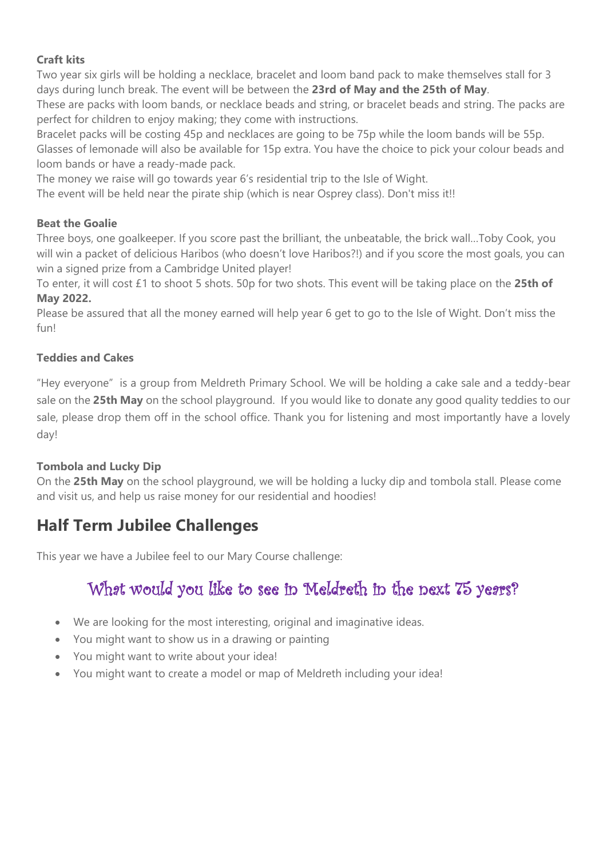#### **Craft kits**

Two year six girls will be holding a necklace, bracelet and loom band pack to make themselves stall for 3 days during lunch break. The event will be between the **23rd of May and the 25th of May**.

These are packs with loom bands, or necklace beads and string, or bracelet beads and string. The packs are perfect for children to enjoy making; they come with instructions.

Bracelet packs will be costing 45p and necklaces are going to be 75p while the loom bands will be 55p. Glasses of lemonade will also be available for 15p extra. You have the choice to pick your colour beads and loom bands or have a ready-made pack.

The money we raise will go towards year 6's residential trip to the Isle of Wight.

The event will be held near the pirate ship (which is near Osprey class). Don't miss it!!

#### **Beat the Goalie**

Three boys, one goalkeeper. If you score past the brilliant, the unbeatable, the brick wall…Toby Cook, you will win a packet of delicious Haribos (who doesn't love Haribos?!) and if you score the most goals, you can win a signed prize from a Cambridge United player!

To enter, it will cost £1 to shoot 5 shots. 50p for two shots. This event will be taking place on the **25th of May 2022.**

Please be assured that all the money earned will help year 6 get to go to the Isle of Wight. Don't miss the fun!

#### **Teddies and Cakes**

"Hey everyone" is a group from Meldreth Primary School. We will be holding a cake sale and a teddy-bear sale on the **25th May** on the school playground. If you would like to donate any good quality teddies to our sale, please drop them off in the school office. Thank you for listening and most importantly have a lovely day!

#### **Tombola and Lucky Dip**

On the **25th May** on the school playground, we will be holding a lucky dip and tombola stall. Please come and visit us, and help us raise money for our residential and hoodies!

### **Half Term Jubilee Challenges**

This year we have a Jubilee feel to our Mary Course challenge:

# What would you like to see in Meldreth in the next 75 years?

- We are looking for the most interesting, original and imaginative ideas.
- You might want to show us in a drawing or painting
- You might want to write about your idea!
- You might want to create a model or map of Meldreth including your idea!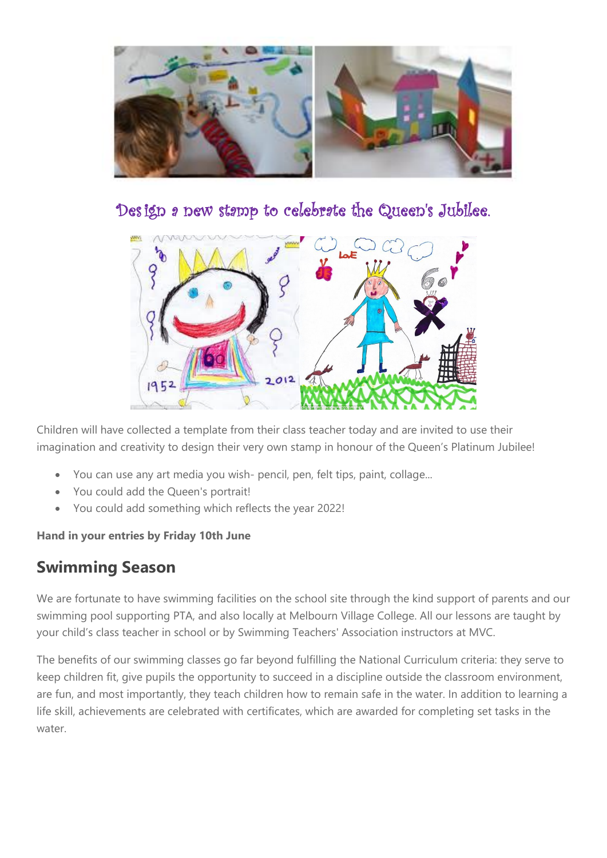

Design a new stamp to celebrate the Queen's Jubilee.



Children will have collected a template from their class teacher today and are invited to use their imagination and creativity to design their very own stamp in honour of the Queen's Platinum Jubilee!

- You can use any art media you wish- pencil, pen, felt tips, paint, collage...
- You could add the Queen's portrait!
- You could add something which reflects the year 2022!

#### **Hand in your entries by Friday 10th June**

## **Swimming Season**

We are fortunate to have swimming facilities on the school site through the kind support of parents and our swimming pool supporting PTA, and also locally at Melbourn Village College. All our lessons are taught by your child's class teacher in school or by Swimming Teachers' Association instructors at MVC.

The benefits of our swimming classes go far beyond fulfilling the National Curriculum criteria: they serve to keep children fit, give pupils the opportunity to succeed in a discipline outside the classroom environment, are fun, and most importantly, they teach children how to remain safe in the water. In addition to learning a life skill, achievements are celebrated with certificates, which are awarded for completing set tasks in the water.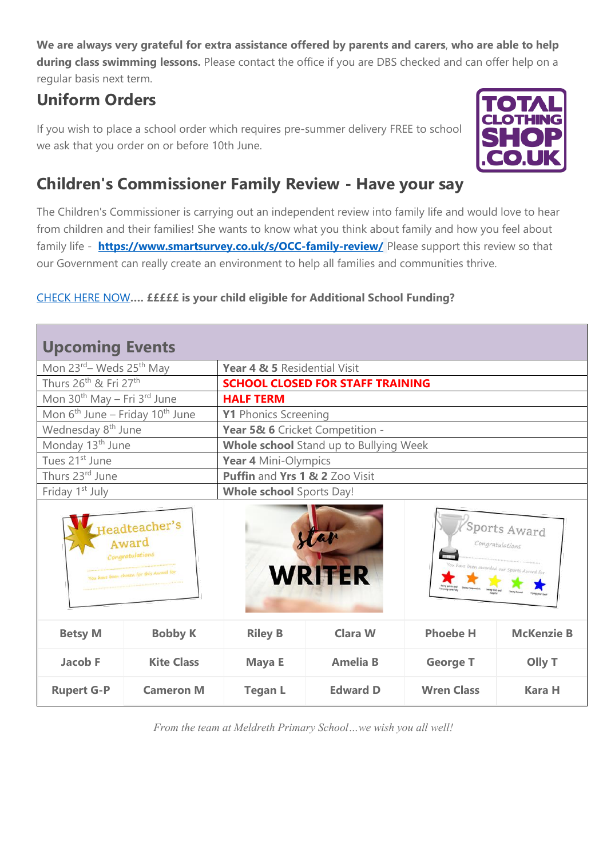**We are always very grateful for extra assistance offered by parents and carers**, **who are able to help during class swimming lessons.** Please contact the office if you are DBS checked and can offer help on a regular basis next term.

# **Uniform Orders**

If you wish to place a school order which requires pre-summer delivery FREE to school we ask that you order on or before 10th June.



# **Children's Commissioner Family Review - Have your say**

The Children's Commissioner is carrying out an independent review into family life and would love to hear from children and their families! She wants to know what you think about family and how you feel about family life - **<https://www.smartsurvey.co.uk/s/OCC-family-review/>** Please support this review so that our Government can really create an environment to help all families and communities thrive.

#### [CHECK HERE NOW](https://cambridgeshire-self.achieveservice.com/service/Apply_for_Education_Welfare_Benefits)**…. £££££ is your child eligible for Additional School Funding?**

| <b>Upcoming Events</b>                                                               |                   |                                                                                                   |                 |                   |                   |
|--------------------------------------------------------------------------------------|-------------------|---------------------------------------------------------------------------------------------------|-----------------|-------------------|-------------------|
| Mon 23 <sup>rd</sup> – Weds 25 <sup>th</sup> May                                     |                   | Year 4 & 5 Residential Visit                                                                      |                 |                   |                   |
| Thurs 26 <sup>th</sup> & Fri 27 <sup>th</sup>                                        |                   | <b>SCHOOL CLOSED FOR STAFF TRAINING</b>                                                           |                 |                   |                   |
| Mon 30 <sup>th</sup> May - Fri 3 <sup>rd</sup> June                                  |                   | <b>HALF TERM</b>                                                                                  |                 |                   |                   |
| Mon $6^{th}$ June – Friday 10 <sup>th</sup> June                                     |                   | Y1 Phonics Screening                                                                              |                 |                   |                   |
| Wednesday 8 <sup>th</sup> June                                                       |                   | Year 5& 6 Cricket Competition -                                                                   |                 |                   |                   |
| Monday 13 <sup>th</sup> June                                                         |                   | Whole school Stand up to Bullying Week                                                            |                 |                   |                   |
| Tues 21 <sup>st</sup> June                                                           |                   | Year 4 Mini-Olympics                                                                              |                 |                   |                   |
| Thurs 23rd June                                                                      |                   | Puffin and Yrs 1 & 2 Zoo Visit                                                                    |                 |                   |                   |
| Friday 1 <sup>st</sup> July                                                          |                   | <b>Whole school</b> Sports Day!                                                                   |                 |                   |                   |
| Ieadteacher's<br>Award<br>Congratulations<br>You have been chosen for this Award for |                   | Sports Award<br>tar<br>Congratulations<br>vave been awarded our Sports Award for<br><b>WRITER</b> |                 |                   |                   |
| <b>Betsy M</b>                                                                       | <b>Bobby K</b>    | <b>Riley B</b>                                                                                    | <b>Clara W</b>  | <b>Phoebe H</b>   | <b>McKenzie B</b> |
| <b>Jacob F</b>                                                                       | <b>Kite Class</b> | Maya E                                                                                            | <b>Amelia B</b> | <b>George T</b>   | Olly T            |
| <b>Rupert G-P</b>                                                                    | <b>Cameron M</b>  | <b>Tegan L</b>                                                                                    | <b>Edward D</b> | <b>Wren Class</b> | <b>Kara H</b>     |

*From the team at Meldreth Primary School…we wish you all well!*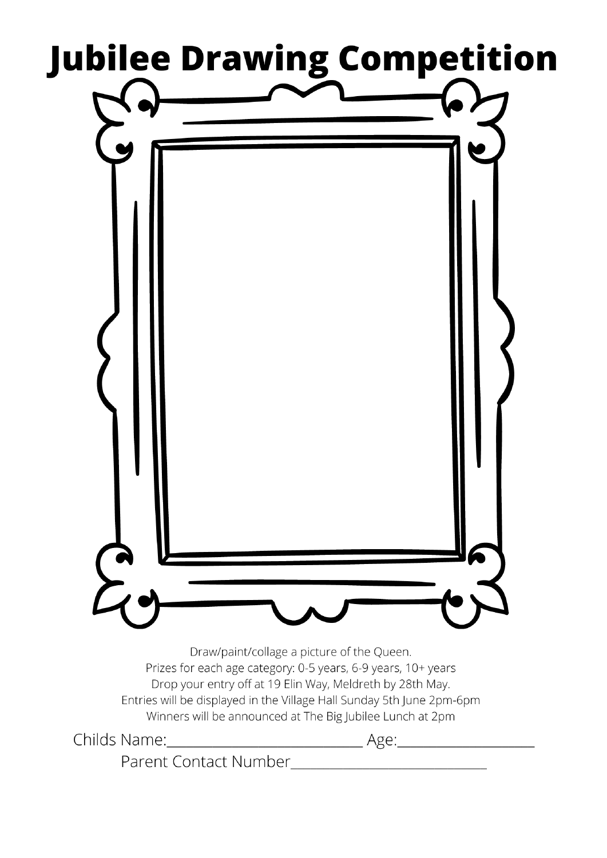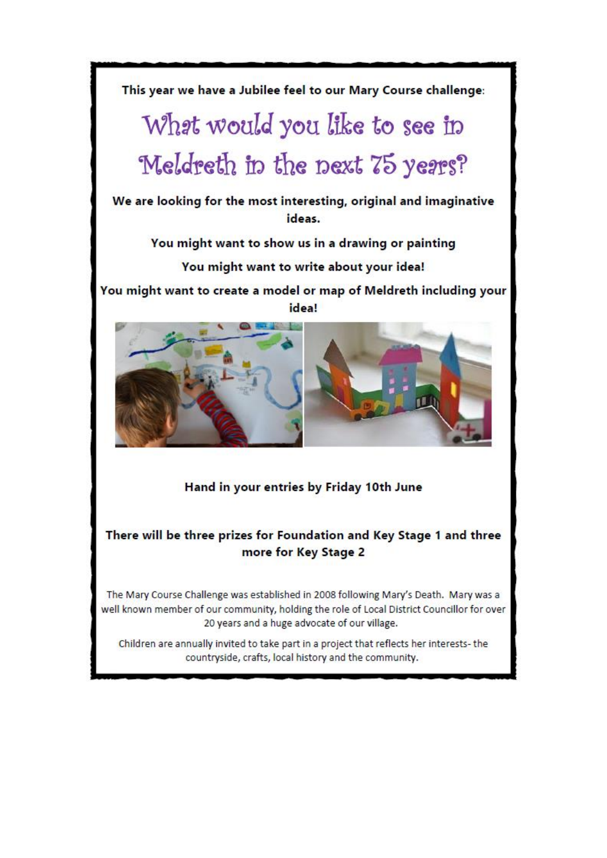

Hand in your entries by Friday 10th June

#### There will be three prizes for Foundation and Key Stage 1 and three more for Key Stage 2

The Mary Course Challenge was established in 2008 following Mary's Death. Mary was a well known member of our community, holding the role of Local District Councillor for over 20 years and a huge advocate of our village.

Children are annually invited to take part in a project that reflects her interests-the countryside, crafts, local history and the community.